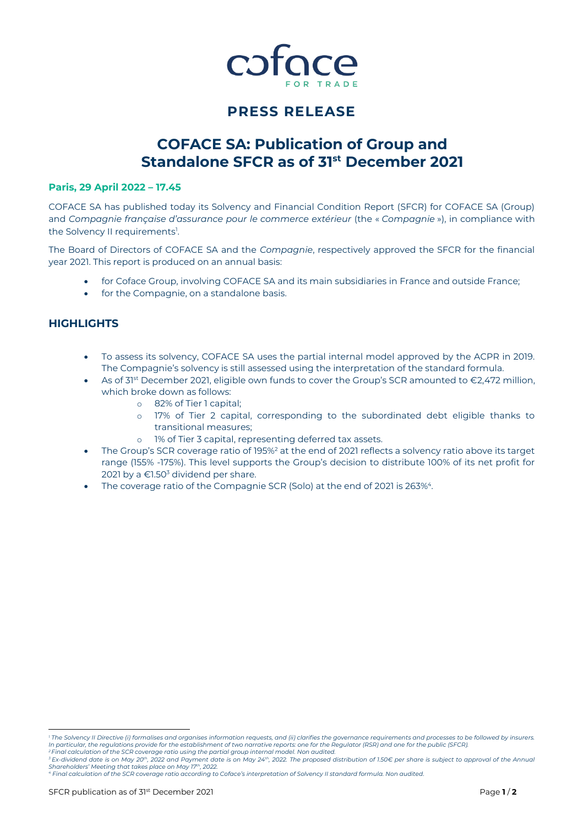

# **PRESS RELEASE**

# **COFACE SA: Publication of Group and Standalone SFCR as of 31st December 2021**

### **Paris, 29 April 2022 – 17.45**

COFACE SA has published today its Solvency and Financial Condition Report (SFCR) for COFACE SA (Group) and *Compagnie française d'assurance pour le commerce extérieur* (the « *Compagnie* »), in compliance with the Solvency II requirements<sup>1</sup>.

The Board of Directors of COFACE SA and the *Compagnie*, respectively approved the SFCR for the financial year 2021. This report is produced on an annual basis:

- for Coface Group, involving COFACE SA and its main subsidiaries in France and outside France;
- for the Compagnie, on a standalone basis.

# **HIGHLIGHTS**

- To assess its solvency, COFACE SA uses the partial internal model approved by the ACPR in 2019. The Compagnie's solvency is still assessed using the interpretation of the standard formula.
- As of 31<sup>st</sup> December 2021, eligible own funds to cover the Group's SCR amounted to €2,472 million, which broke down as follows:
	- o 82% of Tier 1 capital;
	- o 17% of Tier 2 capital, corresponding to the subordinated debt eligible thanks to transitional measures;
	- o 1% of Tier 3 capital, representing deferred tax assets.
- The Group's SCR coverage ratio of 195%<sup>2</sup> at the end of 2021 reflects a solvency ratio above its target range (155% -175%). This level supports the Group's decision to distribute 100% of its net profit for 2021 by a  $\epsilon$ 1.50<sup>3</sup> dividend per share.
- $\bullet$  The coverage ratio of the Compagnie SCR (Solo) at the end of 2021 is 263% $^4$ .

 *<sup>1</sup> The Solvency II Directive (i) formalises and organises information requests, and (ii) clarifies the governance requirements and processes to be followed by insurers.*  In particular, the regulations provide for the establishment of two narrative reports: one for the Regulator (RSR) and one for the public (SFCR).<br><sup>2</sup> Final calculation of the SCR coverage ratio using the partial group inte

*<sup>3</sup> Ex-dividend date is on May 20th, 2022 and Payment date is on May 24th, 2022. The proposed distribution of 1.50€ per share is subject to approval of the Annual* 

Shareholders' Meeting that takes place on May 17th, 2022.<br>4 Final calculation of the SCR coverage ratio according to Coface's interpretation of Solvency II standard formula. Non audited.